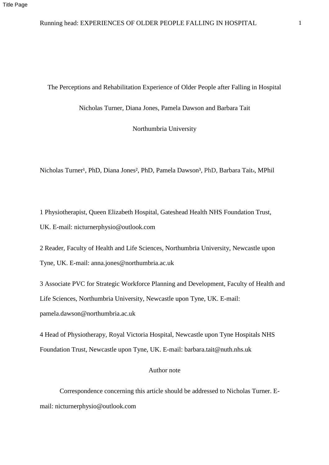#### The Perceptions and Rehabilitation Experience of Older People after Falling in Hospital

Nicholas Turner, Diana Jones, Pamela Dawson and Barbara Tait

Northumbria University

Nicholas Turner<sup>1</sup>, PhD, Diana Jones<sup>2</sup>, PhD, Pamela Dawson<sup>3</sup>, PhD, Barbara Tait<sub>4</sub>, MPhil

1 Physiotherapist, Queen Elizabeth Hospital, Gateshead Health NHS Foundation Trust, UK. E-mail: nicturnerphysio@outlook.com

2 Reader, Faculty of Health and Life Sciences, Northumbria University, Newcastle upon Tyne, UK. E-mail: anna.jones@northumbria.ac.uk

3 Associate PVC for Strategic Workforce Planning and Development, Faculty of Health and Life Sciences, Northumbria University, Newcastle upon Tyne, UK. E-mail: pamela.dawson@northumbria.ac.uk

4 Head of Physiotherapy, Royal Victoria Hospital, Newcastle upon Tyne Hospitals NHS Foundation Trust, Newcastle upon Tyne, UK. E-mail: barbara.tait@nuth.nhs.uk

#### Author note

Correspondence concerning this article should be addressed to Nicholas Turner. Email: nicturnerphysio@outlook.com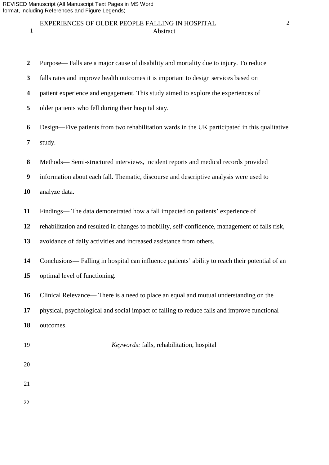### EXPERIENCES OF OLDER PEOPLE FALLING IN HOSPITAL 2 **Abstract**

- Purpose— Falls are a major cause of disability and mortality due to injury. To reduce
- falls rates and improve health outcomes it is important to design services based on
- patient experience and engagement. This study aimed to explore the experiences of
- older patients who fell during their hospital stay.
- Design—Five patients from two rehabilitation wards in the UK participated in this qualitative study.
- 
- Methods— Semi-structured interviews, incident reports and medical records provided
- information about each fall. Thematic, discourse and descriptive analysis were used to
- analyze data.
- Findings— The data demonstrated how a fall impacted on patients' experience of
- rehabilitation and resulted in changes to mobility, self-confidence, management of falls risk,
- avoidance of daily activities and increased assistance from others.
- Conclusions— Falling in hospital can influence patients' ability to reach their potential of an optimal level of functioning.
- Clinical Relevance— There is a need to place an equal and mutual understanding on the
- physical, psychological and social impact of falling to reduce falls and improve functional
- outcomes.
- 

#### *Keywords:* falls, rehabilitation, hospital

- 
- 
-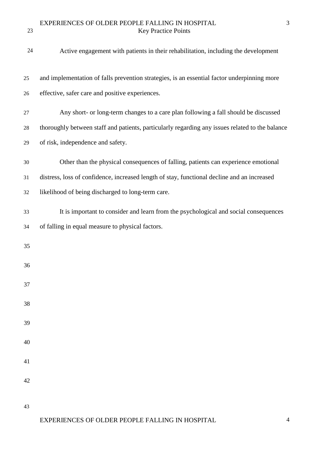# EXPERIENCES OF OLDER PEOPLE FALLING IN HOSPITAL 3 Key Practice Points

| 24 | Active engagement with patients in their rehabilitation, including the development              |
|----|-------------------------------------------------------------------------------------------------|
| 25 | and implementation of falls prevention strategies, is an essential factor underpinning more     |
| 26 | effective, safer care and positive experiences.                                                 |
| 27 | Any short- or long-term changes to a care plan following a fall should be discussed             |
| 28 | thoroughly between staff and patients, particularly regarding any issues related to the balance |
| 29 | of risk, independence and safety.                                                               |
| 30 | Other than the physical consequences of falling, patients can experience emotional              |
| 31 | distress, loss of confidence, increased length of stay, functional decline and an increased     |
| 32 | likelihood of being discharged to long-term care.                                               |
| 33 | It is important to consider and learn from the psychological and social consequences            |
| 34 | of falling in equal measure to physical factors.                                                |
| 35 |                                                                                                 |
| 36 |                                                                                                 |
| 37 |                                                                                                 |
| 38 |                                                                                                 |
| 39 |                                                                                                 |
| 40 |                                                                                                 |
| 41 |                                                                                                 |
| 42 |                                                                                                 |
|    |                                                                                                 |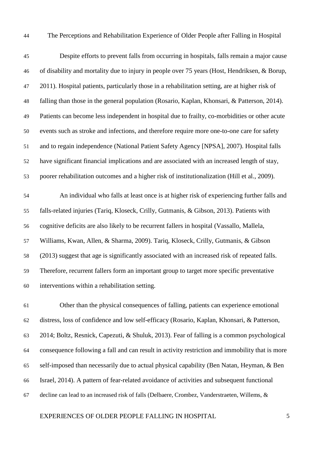The Perceptions and Rehabilitation Experience of Older People after Falling in Hospital

 Despite efforts to prevent falls from occurring in hospitals, falls remain a major cause of disability and mortality due to injury in people over 75 years (Host, Hendriksen, & Borup, 2011). Hospital patients, particularly those in a rehabilitation setting, are at higher risk of falling than those in the general population (Rosario, Kaplan, Khonsari, & Patterson, 2014). Patients can become less independent in hospital due to frailty, co-morbidities or other acute events such as stroke and infections, and therefore require more one-to-one care for safety and to regain independence (National Patient Safety Agency [NPSA], 2007). Hospital falls have significant financial implications and are associated with an increased length of stay, poorer rehabilitation outcomes and a higher risk of institutionalization (Hill et al., 2009).

 An individual who falls at least once is at higher risk of experiencing further falls and falls-related injuries (Tariq, Kloseck, Crilly, Gutmanis, & Gibson, 2013). Patients with cognitive deficits are also likely to be recurrent fallers in hospital (Vassallo, Mallela, Williams, Kwan, Allen, & Sharma, 2009). Tariq, Kloseck, Crilly, Gutmanis, & Gibson (2013) suggest that age is significantly associated with an increased risk of repeated falls. Therefore, recurrent fallers form an important group to target more specific preventative interventions within a rehabilitation setting.

 Other than the physical consequences of falling, patients can experience emotional distress, loss of confidence and low self-efficacy (Rosario, Kaplan, Khonsari, & Patterson, 2014; Boltz, Resnick, Capezuti, & Shuluk, 2013). Fear of falling is a common psychological consequence following a fall and can result in activity restriction and immobility that is more self-imposed than necessarily due to actual physical capability (Ben Natan, Heyman, & Ben Israel, 2014). A pattern of fear-related avoidance of activities and subsequent functional decline can lead to an increased risk of falls (Delbaere, Crombez, Vanderstraeten, Willems, &

### EXPERIENCES OF OLDER PEOPLE FALLING IN HOSPITAL 5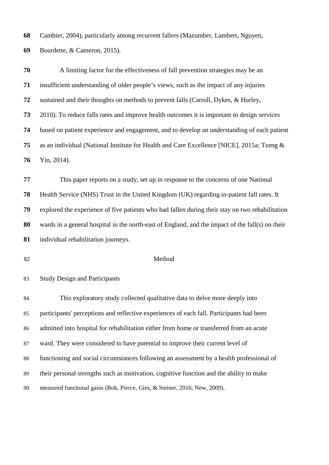Cambier, 2004), particularly among recurrent fallers (Mazumber, Lambert, Nguyen,

Bourdette, & Cameron, 2015).

 A limiting factor for the effectiveness of fall prevention strategies may be an insufficient understanding of older people's views, such as the impact of any injuries sustained and their thoughts on methods to prevent falls (Carroll, Dykes, & Hurley, 2010). To reduce falls rates and improve health outcomes it is important to design services based on patient experience and engagement, and to develop an understanding of each patient as an individual (National Institute for Health and Care Excellence [NICE], 2015a; Tzeng & Yin, 2014).

 This paper reports on a study, set up in response to the concerns of one National Health Service (NHS) Trust in the United Kingdom (UK) regarding in-patient fall rates. It explored the experience of five patients who had fallen during their stay on two rehabilitation wards in a general hospital in the north-east of England, and the impact of the fall(s) on their individual rehabilitation journeys.

#### Method

Study Design and Participants

 This exploratory study collected qualitative data to delve more deeply into participants' perceptions and reflective experiences of each fall. Participants had been admitted into hospital for rehabilitation either from home or transferred from an acute ward. They were considered to have potential to improve their current level of functioning and social circumstances following an assessment by a health professional of their personal strengths such as motivation, cognitive function and the ability to make measured functional gains (Bok, Pierce, Gies, & Steiner, 2016; New, 2009).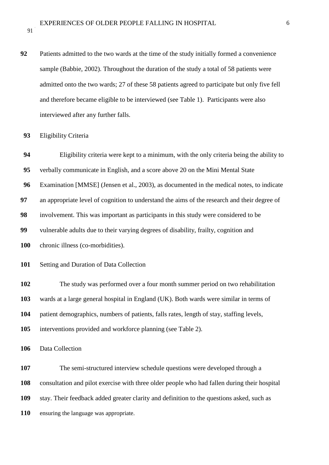Patients admitted to the two wards at the time of the study initially formed a convenience sample (Babbie, 2002). Throughout the duration of the study a total of 58 patients were admitted onto the two wards; 27 of these 58 patients agreed to participate but only five fell and therefore became eligible to be interviewed (see Table 1). Participants were also interviewed after any further falls.

Eligibility criteria were kept to a minimum, with the only criteria being the ability to

### Eligibility Criteria

 verbally communicate in English, and a score above 20 on the Mini Mental State Examination [MMSE] (Jensen et al., 2003), as documented in the medical notes, to indicate an appropriate level of cognition to understand the aims of the research and their degree of involvement. This was important as participants in this study were considered to be vulnerable adults due to their varying degrees of disability, frailty, cognition and chronic illness (co-morbidities). Setting and Duration of Data Collection The study was performed over a four month summer period on two rehabilitation wards at a large general hospital in England (UK). Both wards were similar in terms of patient demographics, numbers of patients, falls rates, length of stay, staffing levels, interventions provided and workforce planning (see Table 2). Data Collection The semi-structured interview schedule questions were developed through a consultation and pilot exercise with three older people who had fallen during their hospital stay. Their feedback added greater clarity and definition to the questions asked, such as ensuring the language was appropriate.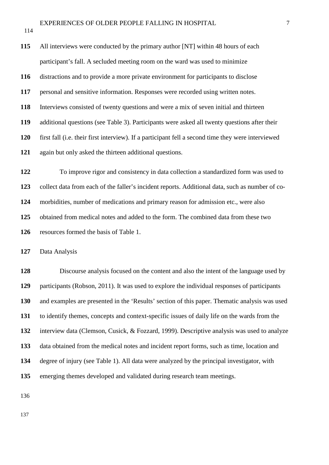All interviews were conducted by the primary author [NT] within 48 hours of each participant's fall. A secluded meeting room on the ward was used to minimize distractions and to provide a more private environment for participants to disclose personal and sensitive information. Responses were recorded using written notes. Interviews consisted of twenty questions and were a mix of seven initial and thirteen additional questions (see Table 3). Participants were asked all twenty questions after their first fall (i.e. their first interview). If a participant fell a second time they were interviewed again but only asked the thirteen additional questions. To improve rigor and consistency in data collection a standardized form was used to

 collect data from each of the faller's incident reports. Additional data, such as number of co- morbidities, number of medications and primary reason for admission etc., were also obtained from medical notes and added to the form. The combined data from these two resources formed the basis of Table 1.

Data Analysis

 Discourse analysis focused on the content and also the intent of the language used by participants (Robson, 2011). It was used to explore the individual responses of participants and examples are presented in the 'Results' section of this paper. Thematic analysis was used to identify themes, concepts and context-specific issues of daily life on the wards from the interview data (Clemson, Cusick, & Fozzard, 1999). Descriptive analysis was used to analyze data obtained from the medical notes and incident report forms, such as time, location and degree of injury (see Table 1). All data were analyzed by the principal investigator, with emerging themes developed and validated during research team meetings.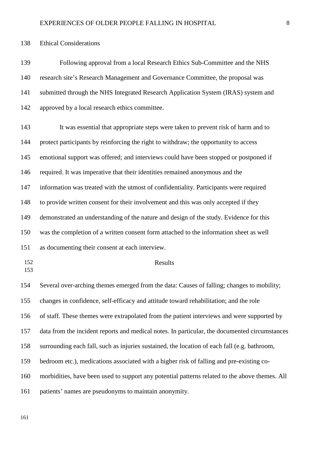Ethical Considerations

 Following approval from a local Research Ethics Sub-Committee and the NHS research site's Research Management and Governance Committee, the proposal was submitted through the NHS Integrated Research Application System (IRAS) system and approved by a local research ethics committee.

 It was essential that appropriate steps were taken to prevent risk of harm and to protect participants by reinforcing the right to withdraw; the opportunity to access emotional support was offered; and interviews could have been stopped or postponed if required. It was imperative that their identities remained anonymous and the information was treated with the utmost of confidentiality. Participants were required to provide written consent for their involvement and this was only accepted if they demonstrated an understanding of the nature and design of the study. Evidence for this was the completion of a written consent form attached to the information sheet as well as documenting their consent at each interview. Results Several over-arching themes emerged from the data: Causes of falling; changes to mobility; changes in confidence, self-efficacy and attitude toward rehabilitation; and the role of staff. These themes were extrapolated from the patient interviews and were supported by data from the incident reports and medical notes. In particular, the documented circumstances

surrounding each fall, such as injuries sustained, the location of each fall (e.g. bathroom,

bedroom etc.), medications associated with a higher risk of falling and pre-existing co-

morbidities, have been used to support any potential patterns related to the above themes. All

patients' names are pseudonyms to maintain anonymity.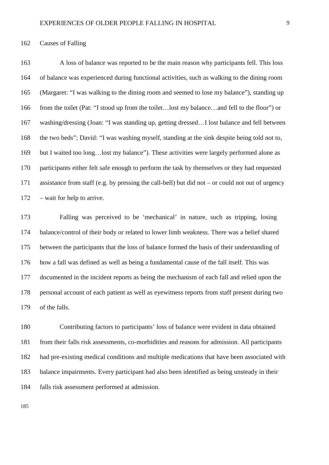### Causes of Falling

 A loss of balance was reported to be the main reason why participants fell. This loss of balance was experienced during functional activities, such as walking to the dining room (Margaret: "I was walking to the dining room and seemed to lose my balance"), standing up from the toilet (Pat: "I stood up from the toilet…lost my balance…and fell to the floor") or washing/dressing (Joan: "I was standing up, getting dressed…I lost balance and fell between the two beds"; David: "I was washing myself, standing at the sink despite being told not to, but I waited too long…lost my balance"). These activities were largely performed alone as participants either felt safe enough to perform the task by themselves or they had requested assistance from staff (e.g. by pressing the call-bell) but did not – or could not out of urgency – wait for help to arrive.

 Falling was perceived to be 'mechanical' in nature, such as tripping, losing balance/control of their body or related to lower limb weakness. There was a belief shared between the participants that the loss of balance formed the basis of their understanding of how a fall was defined as well as being a fundamental cause of the fall itself. This was documented in the incident reports as being the mechanism of each fall and relied upon the personal account of each patient as well as eyewitness reports from staff present during two of the falls.

 Contributing factors to participants' loss of balance were evident in data obtained from their falls risk assessments, co-morbidities and reasons for admission. All participants had pre-existing medical conditions and multiple medications that have been associated with balance impairments. Every participant had also been identified as being unsteady in their falls risk assessment performed at admission.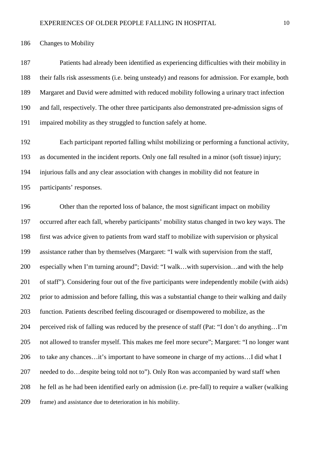Changes to Mobility

 Patients had already been identified as experiencing difficulties with their mobility in their falls risk assessments (i.e. being unsteady) and reasons for admission. For example, both Margaret and David were admitted with reduced mobility following a urinary tract infection and fall, respectively. The other three participants also demonstrated pre-admission signs of impaired mobility as they struggled to function safely at home.

 Each participant reported falling whilst mobilizing or performing a functional activity, as documented in the incident reports. Only one fall resulted in a minor (soft tissue) injury; injurious falls and any clear association with changes in mobility did not feature in participants' responses.

 Other than the reported loss of balance, the most significant impact on mobility occurred after each fall, whereby participants' mobility status changed in two key ways. The first was advice given to patients from ward staff to mobilize with supervision or physical assistance rather than by themselves (Margaret: "I walk with supervision from the staff, especially when I'm turning around"; David: "I walk…with supervision…and with the help of staff"). Considering four out of the five participants were independently mobile (with aids) prior to admission and before falling, this was a substantial change to their walking and daily function. Patients described feeling discouraged or disempowered to mobilize, as the perceived risk of falling was reduced by the presence of staff (Pat: "I don't do anything…I'm not allowed to transfer myself. This makes me feel more secure"; Margaret: "I no longer want 206 to take any chances…it's important to have someone in charge of my actions…I did what I needed to do…despite being told not to"). Only Ron was accompanied by ward staff when he fell as he had been identified early on admission (i.e. pre-fall) to require a walker (walking frame) and assistance due to deterioration in his mobility.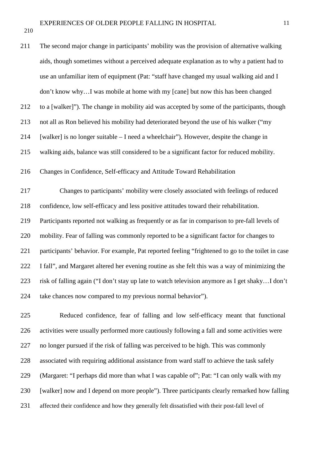The second major change in participants' mobility was the provision of alternative walking aids, though sometimes without a perceived adequate explanation as to why a patient had to use an unfamiliar item of equipment (Pat: "staff have changed my usual walking aid and I don't know why…I was mobile at home with my [cane] but now this has been changed to a [walker]"). The change in mobility aid was accepted by some of the participants, though not all as Ron believed his mobility had deteriorated beyond the use of his walker ("my [walker] is no longer suitable – I need a wheelchair"). However, despite the change in walking aids, balance was still considered to be a significant factor for reduced mobility. Changes in Confidence, Self-efficacy and Attitude Toward Rehabilitation Changes to participants' mobility were closely associated with feelings of reduced confidence, low self-efficacy and less positive attitudes toward their rehabilitation. Participants reported not walking as frequently or as far in comparison to pre-fall levels of mobility. Fear of falling was commonly reported to be a significant factor for changes to participants' behavior. For example, Pat reported feeling "frightened to go to the toilet in case I fall", and Margaret altered her evening routine as she felt this was a way of minimizing the risk of falling again ("I don't stay up late to watch television anymore as I get shaky…I don't take chances now compared to my previous normal behavior").

 Reduced confidence, fear of falling and low self-efficacy meant that functional activities were usually performed more cautiously following a fall and some activities were no longer pursued if the risk of falling was perceived to be high. This was commonly associated with requiring additional assistance from ward staff to achieve the task safely (Margaret: "I perhaps did more than what I was capable of"; Pat: "I can only walk with my [walker] now and I depend on more people"). Three participants clearly remarked how falling affected their confidence and how they generally felt dissatisfied with their post-fall level of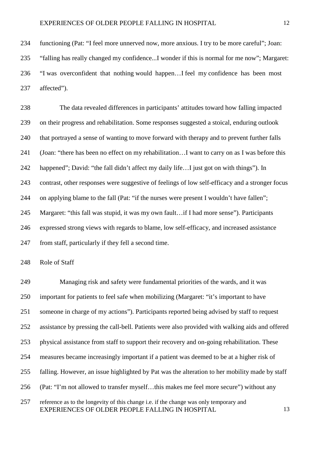functioning (Pat: "I feel more unnerved now, more anxious. I try to be more careful"; Joan: "falling has really changed my confidence...I wonder if this is normal for me now"; Margaret: "I was overconfident that nothing would happen…I feel my confidence has been most affected").

 The data revealed differences in participants' attitudes toward how falling impacted on their progress and rehabilitation. Some responses suggested a stoical, enduring outlook that portrayed a sense of wanting to move forward with therapy and to prevent further falls (Joan: "there has been no effect on my rehabilitation…I want to carry on as I was before this 242 happened"; David: "the fall didn't affect my daily life...I just got on with things"). In contrast, other responses were suggestive of feelings of low self-efficacy and a stronger focus on applying blame to the fall (Pat: "if the nurses were present I wouldn't have fallen"; Margaret: "this fall was stupid, it was my own fault…if I had more sense"). Participants expressed strong views with regards to blame, low self-efficacy, and increased assistance from staff, particularly if they fell a second time.

Role of Staff

 Managing risk and safety were fundamental priorities of the wards, and it was important for patients to feel safe when mobilizing (Margaret: "it's important to have someone in charge of my actions"). Participants reported being advised by staff to request assistance by pressing the call-bell. Patients were also provided with walking aids and offered physical assistance from staff to support their recovery and on-going rehabilitation. These measures became increasingly important if a patient was deemed to be at a higher risk of falling. However, an issue highlighted by Pat was the alteration to her mobility made by staff (Pat: "I'm not allowed to transfer myself…this makes me feel more secure") without any reference as to the longevity of this change i.e. if the change was only temporary and EXPERIENCES OF OLDER PEOPLE FALLING IN HOSPITAL 13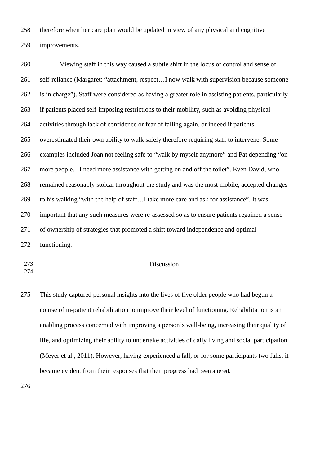therefore when her care plan would be updated in view of any physical and cognitive improvements.

 Viewing staff in this way caused a subtle shift in the locus of control and sense of self-reliance (Margaret: "attachment, respect…I now walk with supervision because someone is in charge"). Staff were considered as having a greater role in assisting patients, particularly if patients placed self-imposing restrictions to their mobility, such as avoiding physical activities through lack of confidence or fear of falling again, or indeed if patients overestimated their own ability to walk safely therefore requiring staff to intervene. Some examples included Joan not feeling safe to "walk by myself anymore" and Pat depending "on more people…I need more assistance with getting on and off the toilet". Even David, who remained reasonably stoical throughout the study and was the most mobile, accepted changes to his walking "with the help of staff…I take more care and ask for assistance". It was important that any such measures were re-assessed so as to ensure patients regained a sense of ownership of strategies that promoted a shift toward independence and optimal functioning.

### Discussion

 This study captured personal insights into the lives of five older people who had begun a course of in-patient rehabilitation to improve their level of functioning. Rehabilitation is an enabling process concerned with improving a person's well-being, increasing their quality of life, and optimizing their ability to undertake activities of daily living and social participation (Meyer et al., 2011). However, having experienced a fall, or for some participants two falls, it became evident from their responses that their progress had been altered.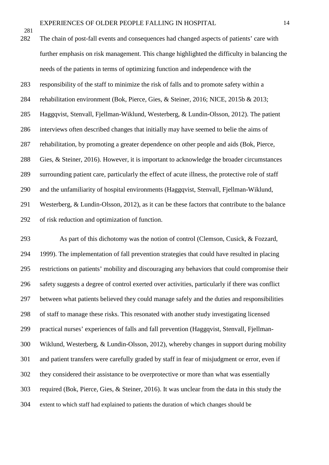The chain of post-fall events and consequences had changed aspects of patients' care with further emphasis on risk management. This change highlighted the difficulty in balancing the needs of the patients in terms of optimizing function and independence with the responsibility of the staff to minimize the risk of falls and to promote safety within a rehabilitation environment (Bok, Pierce, Gies, & Steiner, 2016; NICE, 2015b & 2013; Haggqvist, Stenvall, Fjellman-Wiklund, Westerberg, & Lundin-Olsson, 2012). The patient interviews often described changes that initially may have seemed to belie the aims of rehabilitation, by promoting a greater dependence on other people and aids (Bok, Pierce, Gies, & Steiner, 2016). However, it is important to acknowledge the broader circumstances surrounding patient care, particularly the effect of acute illness, the protective role of staff and the unfamiliarity of hospital environments (Haggqvist, Stenvall, Fjellman-Wiklund, Westerberg, & Lundin-Olsson, 2012), as it can be these factors that contribute to the balance of risk reduction and optimization of function.

 As part of this dichotomy was the notion of control (Clemson, Cusick, & Fozzard, 1999). The implementation of fall prevention strategies that could have resulted in placing restrictions on patients' mobility and discouraging any behaviors that could compromise their safety suggests a degree of control exerted over activities, particularly if there was conflict between what patients believed they could manage safely and the duties and responsibilities of staff to manage these risks. This resonated with another study investigating licensed practical nurses' experiences of falls and fall prevention (Haggqvist, Stenvall, Fjellman- Wiklund, Westerberg, & Lundin-Olsson, 2012), whereby changes in support during mobility and patient transfers were carefully graded by staff in fear of misjudgment or error, even if they considered their assistance to be overprotective or more than what was essentially required (Bok, Pierce, Gies, & Steiner, 2016). It was unclear from the data in this study the extent to which staff had explained to patients the duration of which changes should be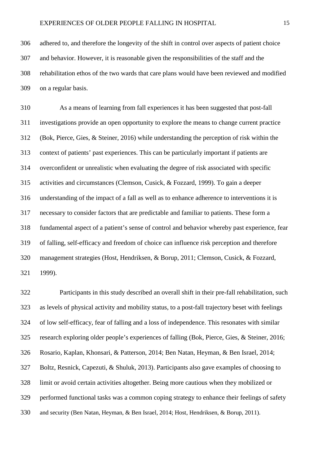adhered to, and therefore the longevity of the shift in control over aspects of patient choice and behavior. However, it is reasonable given the responsibilities of the staff and the rehabilitation ethos of the two wards that care plans would have been reviewed and modified on a regular basis.

 As a means of learning from fall experiences it has been suggested that post-fall investigations provide an open opportunity to explore the means to change current practice (Bok, Pierce, Gies, & Steiner, 2016) while understanding the perception of risk within the context of patients' past experiences. This can be particularly important if patients are overconfident or unrealistic when evaluating the degree of risk associated with specific activities and circumstances (Clemson, Cusick, & Fozzard, 1999). To gain a deeper understanding of the impact of a fall as well as to enhance adherence to interventions it is necessary to consider factors that are predictable and familiar to patients. These form a fundamental aspect of a patient's sense of control and behavior whereby past experience, fear of falling, self-efficacy and freedom of choice can influence risk perception and therefore management strategies (Host, Hendriksen, & Borup, 2011; Clemson, Cusick, & Fozzard, 1999).

 Participants in this study described an overall shift in their pre-fall rehabilitation, such as levels of physical activity and mobility status, to a post-fall trajectory beset with feelings of low self-efficacy, fear of falling and a loss of independence. This resonates with similar research exploring older people's experiences of falling (Bok, Pierce, Gies, & Steiner, 2016; Rosario, Kaplan, Khonsari, & Patterson, 2014; Ben Natan, Heyman, & Ben Israel, 2014; Boltz, Resnick, Capezuti, & Shuluk, 2013). Participants also gave examples of choosing to limit or avoid certain activities altogether. Being more cautious when they mobilized or performed functional tasks was a common coping strategy to enhance their feelings of safety and security (Ben Natan, Heyman, & Ben Israel, 2014; Host, Hendriksen, & Borup, 2011).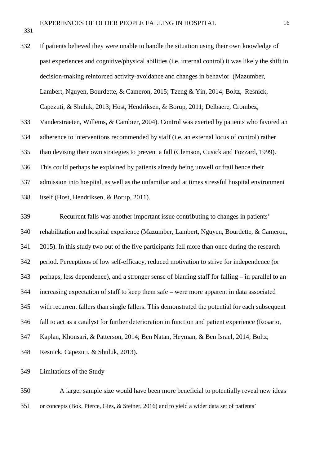If patients believed they were unable to handle the situation using their own knowledge of past experiences and cognitive/physical abilities (i.e. internal control) it was likely the shift in decision-making reinforced activity-avoidance and changes in behavior (Mazumber, Lambert, Nguyen, Bourdette, & Cameron, 2015; Tzeng & Yin, 2014; Boltz, Resnick, Capezuti, & Shuluk, 2013; Host, Hendriksen, & Borup, 2011; Delbaere, Crombez, Vanderstraeten, Willems, & Cambier, 2004). Control was exerted by patients who favored an adherence to interventions recommended by staff (i.e. an external locus of control) rather than devising their own strategies to prevent a fall (Clemson, Cusick and Fozzard, 1999). This could perhaps be explained by patients already being unwell or frail hence their admission into hospital, as well as the unfamiliar and at times stressful hospital environment itself (Host, Hendriksen, & Borup, 2011).

 Recurrent falls was another important issue contributing to changes in patients' rehabilitation and hospital experience (Mazumber, Lambert, Nguyen, Bourdette, & Cameron, 2015). In this study two out of the five participants fell more than once during the research period. Perceptions of low self-efficacy, reduced motivation to strive for independence (or perhaps, less dependence), and a stronger sense of blaming staff for falling – in parallel to an increasing expectation of staff to keep them safe – were more apparent in data associated with recurrent fallers than single fallers. This demonstrated the potential for each subsequent fall to act as a catalyst for further deterioration in function and patient experience (Rosario, Kaplan, Khonsari, & Patterson, 2014; Ben Natan, Heyman, & Ben Israel, 2014; Boltz, Resnick, Capezuti, & Shuluk, 2013).

Limitations of the Study

 A larger sample size would have been more beneficial to potentially reveal new ideas or concepts (Bok, Pierce, Gies, & Steiner, 2016) and to yield a wider data set of patients'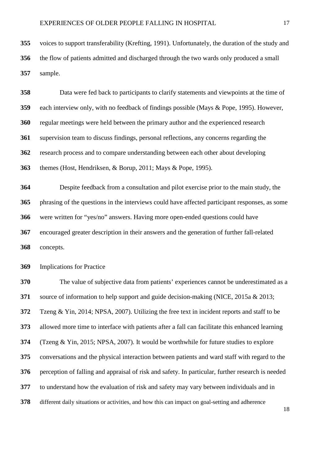voices to support transferability (Krefting, 1991). Unfortunately, the duration of the study and the flow of patients admitted and discharged through the two wards only produced a small sample.

 Data were fed back to participants to clarify statements and viewpoints at the time of each interview only, with no feedback of findings possible (Mays & Pope, 1995). However, regular meetings were held between the primary author and the experienced research supervision team to discuss findings, personal reflections, any concerns regarding the research process and to compare understanding between each other about developing themes (Host, Hendriksen, & Borup, 2011; Mays & Pope, 1995). Despite feedback from a consultation and pilot exercise prior to the main study, the phrasing of the questions in the interviews could have affected participant responses, as some were written for "yes/no" answers. Having more open-ended questions could have encouraged greater description in their answers and the generation of further fall-related

concepts.

Implications for Practice

 The value of subjective data from patients' experiences cannot be underestimated as a source of information to help support and guide decision-making (NICE, 2015a & 2013; Tzeng & Yin, 2014; NPSA, 2007). Utilizing the free text in incident reports and staff to be allowed more time to interface with patients after a fall can facilitate this enhanced learning (Tzeng & Yin, 2015; NPSA, 2007). It would be worthwhile for future studies to explore conversations and the physical interaction between patients and ward staff with regard to the perception of falling and appraisal of risk and safety. In particular, further research is needed to understand how the evaluation of risk and safety may vary between individuals and in different daily situations or activities, and how this can impact on goal-setting and adherence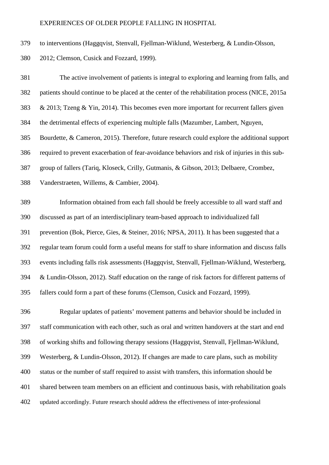### EXPERIENCES OF OLDER PEOPLE FALLING IN HOSPITAL

to interventions (Haggqvist, Stenvall, Fjellman-Wiklund, Westerberg, & Lundin-Olsson,

2012; Clemson, Cusick and Fozzard, 1999).

 The active involvement of patients is integral to exploring and learning from falls, and patients should continue to be placed at the center of the rehabilitation process (NICE, 2015a & 2013; Tzeng & Yin, 2014). This becomes even more important for recurrent fallers given the detrimental effects of experiencing multiple falls (Mazumber, Lambert, Nguyen, Bourdette, & Cameron, 2015). Therefore, future research could explore the additional support required to prevent exacerbation of fear-avoidance behaviors and risk of injuries in this sub- group of fallers (Tariq, Kloseck, Crilly, Gutmanis, & Gibson, 2013; Delbaere, Crombez, Vanderstraeten, Willems, & Cambier, 2004). Information obtained from each fall should be freely accessible to all ward staff and discussed as part of an interdisciplinary team-based approach to individualized fall prevention (Bok, Pierce, Gies, & Steiner, 2016; NPSA, 2011). It has been suggested that a regular team forum could form a useful means for staff to share information and discuss falls events including falls risk assessments (Haggqvist, Stenvall, Fjellman-Wiklund, Westerberg,

 & Lundin-Olsson, 2012). Staff education on the range of risk factors for different patterns of fallers could form a part of these forums (Clemson, Cusick and Fozzard, 1999).

 Regular updates of patients' movement patterns and behavior should be included in staff communication with each other, such as oral and written handovers at the start and end of working shifts and following therapy sessions (Haggqvist, Stenvall, Fjellman-Wiklund, Westerberg, & Lundin-Olsson, 2012). If changes are made to care plans, such as mobility status or the number of staff required to assist with transfers, this information should be shared between team members on an efficient and continuous basis, with rehabilitation goals updated accordingly. Future research should address the effectiveness of inter-professional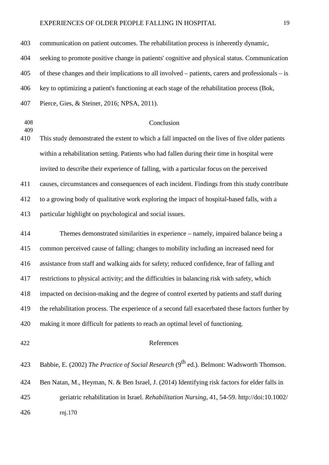### EXPERIENCES OF OLDER PEOPLE FALLING IN HOSPITAL 19

 communication on patient outcomes. The rehabilitation process is inherently dynamic, seeking to promote positive change in patients' cognitive and physical status. Communication of these changes and their implications to all involved – patients, carers and professionals – is key to optimizing a patient's functioning at each stage of the rehabilitation process (Bok, Pierce, Gies, & Steiner, 2016; NPSA, 2011).

- Conclusion This study demonstrated the extent to which a fall impacted on the lives of five older patients within a rehabilitation setting. Patients who had fallen during their time in hospital were invited to describe their experience of falling, with a particular focus on the perceived causes, circumstances and consequences of each incident. Findings from this study contribute to a growing body of qualitative work exploring the impact of hospital-based falls, with a particular highlight on psychological and social issues. Themes demonstrated similarities in experience – namely, impaired balance being a common perceived cause of falling; changes to mobility including an increased need for assistance from staff and walking aids for safety; reduced confidence, fear of falling and restrictions to physical activity; and the difficulties in balancing risk with safety, which impacted on decision-making and the degree of control exerted by patients and staff during the rehabilitation process. The experience of a second fall exacerbated these factors further by making it more difficult for patients to reach an optimal level of functioning. References 423 Babbie, E. (2002) *The Practice of Social Research* (9<sup>th</sup> ed.). Belmont: Wadsworth Thomson. Ben Natan, M., Heyman, N. & Ben Israel, J. (2014) Identifying risk factors for elder falls in
- geriatric rehabilitation in Israel. *Rehabilitation Nursing*, 41, 54-59. http://doi:10.1002/ rnj.170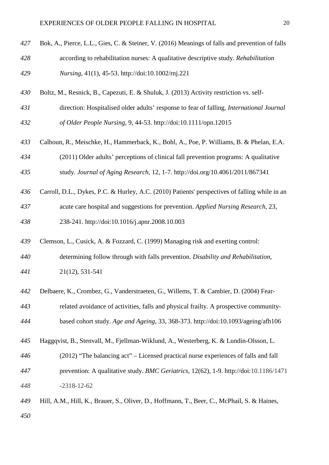| 427 | Bok, A., Pierce, L.L., Gies, C. & Steiner, V. (2016) Meanings of falls and prevention of falls |
|-----|------------------------------------------------------------------------------------------------|
| 428 | according to rehabilitation nurses: A qualitative descriptive study. Rehabilitation            |
| 429 | Nursing, 41(1), 45-53. http://doi:10.1002/rnj.221                                              |
| 430 | Boltz, M., Resnick, B., Capezuti, E. & Shuluk, J. (2013) Activity restriction vs. self-        |
| 431 | direction: Hospitalised older adults' response to fear of falling. International Journal       |
| 432 | of Older People Nursing, 9, 44-53. http://doi:10.1111/opn.12015                                |
| 433 | Calhoun, R., Meischke, H., Hammerback, K., Bohl, A., Poe, P. Williams, B. & Phelan, E.A.       |
| 434 | (2011) Older adults' perceptions of clinical fall prevention programs: A qualitative           |
| 435 | study. Journal of Aging Research, 12, 1-7. http://doi.org/10.4061/2011/867341                  |
| 436 | Carroll, D.L., Dykes, P.C. & Hurley, A.C. (2010) Patients' perspectives of falling while in an |
| 437 | acute care hospital and suggestions for prevention. Applied Nursing Research, 23,              |
| 438 | 238-241. http://doi:10.1016/j.apnr.2008.10.003                                                 |
| 439 | Clemson, L., Cusick, A. & Fozzard, C. (1999) Managing risk and exerting control:               |
| 440 | determining follow through with falls prevention. Disability and Rehabilitation,               |
| 441 | 21(12), 531-541                                                                                |
| 442 | Delbaere, K., Crombez, G., Vanderstraeten, G., Willems, T. & Cambier, D. (2004) Fear-          |
| 443 | related avoidance of activities, falls and physical frailty. A prospective community-          |
| 444 | based cohort study. Age and Ageing, 33, 368-373. http://doi:10.1093/ageing/afh106              |
| 445 | Haggqvist, B., Stenvall, M., Fjellman-Wiklund, A., Westerberg, K. & Lundin-Olsson, L.          |
| 446 | (2012) "The balancing act" – Licensed practical nurse experiences of falls and fall            |
|     |                                                                                                |
| 447 | prevention: A qualitative study. BMC Geriatrics, 12(62), 1-9. http://doi:10.1186/1471          |
| 448 | $-2318-12-62$                                                                                  |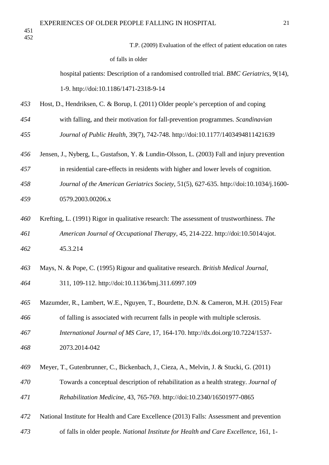> T.P. (2009) Evaluation of the effect of patient education on rates of falls in older

 hospital patients: Description of a randomised controlled trial. *BMC Geriatrics*, 9(14), 1-9. http://doi:10.1186/1471-2318-9-14

- Host, D., Hendriksen, C. & Borup, I. (2011) Older people's perception of and coping
- with falling, and their motivation for fall-prevention programmes. *Scandinavian Journal of Public Health*, 39(7), 742-748. http://doi:10.1177/1403494811421639
- Jensen, J., Nyberg, L., Gustafson, Y. & Lundin-Olsson, L. (2003) Fall and injury prevention
- in residential care-effects in residents with higher and lower levels of cognition.
- *Journal of the American Geriatrics Society*, 51(5), 627-635. http://doi:10.1034/j.1600- 0579.2003.00206.x
- Krefting, L. (1991) Rigor in qualitative research: The assessment of trustworthiness. *The American Journal of Occupational Therapy*, 45, 214-222. http://doi:10.5014/ajot. 45.3.214
- Mays, N. & Pope, C. (1995) Rigour and qualitative research. *British Medical Journal*,
- 311, 109-112. http://doi:10.1136/bmj.311.6997.109
- Mazumder, R., Lambert, W.E., Nguyen, T., Bourdette, D.N. & Cameron, M.H. (2015) Fear of falling is associated with recurrent falls in people with multiple sclerosis. *International Journal of MS Care*, 17, 164-170. http://dx.doi.org/10.7224/1537-
- 2073.2014-042
- Meyer, T., Gutenbrunner, C., Bickenbach, J., Cieza, A., Melvin, J. & Stucki, G. (2011)
- Towards a conceptual description of rehabilitation as a health strategy. *Journal of Rehabilitation Medicine*, 43, 765-769. [http://doi:10.2340/16501977-0865](http://dx.doi.org/10.2340/16501977-0865)
- National Institute for Health and Care Excellence (2013) Falls: Assessment and prevention
- of falls in older people. *National Institute for Health and Care Excellence*, 161, 1-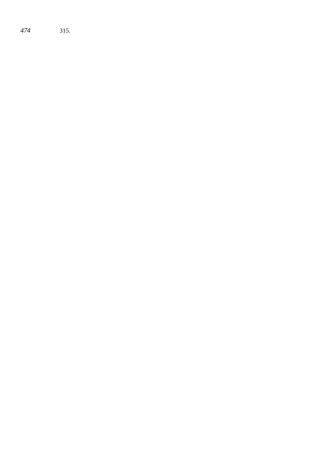315.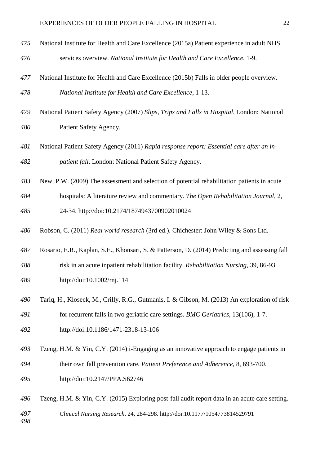- National Institute for Health and Care Excellence (2015a) Patient experience in adult NHS services overview. *National Institute for Health and Care Excellence*, 1-9.
- National Institute for Health and Care Excellence (2015b) Falls in older people overview. *National Institute for Health and Care Excellence*, 1-13.
- National Patient Safety Agency (2007) *Slips, Trips and Falls in Hospital*. London: National Patient Safety Agency.
- National Patient Safety Agency (2011) *Rapid response report: Essential care after an in-patient fall*. London: National Patient Safety Agency.
- New, P.W. (2009) The assessment and selection of potential rehabilitation patients in acute
- hospitals: A literature review and commentary. *[The Open Rehabilitation Journal](http://benthamopen.com/TOREHJ/home/)*, 2,
- 24-34. [http://doi:10.2174/1874943700902010024](http://dx.doi.org/10.2174/1874943700902010024)
- Robson, C. (2011) *Real world research* (3rd ed.). Chichester: John Wiley & Sons Ltd.
- Rosario, E.R., Kaplan, S.E., Khonsari, S. & Patterson, D. (2014) Predicting and assessing fall
- risk in an acute inpatient rehabilitation facility. *Rehabilitation Nursing*, 39, 86-93.
- http://doi:10.1002/rnj.114
- Tariq, H., Kloseck, M., Crilly, R.G., Gutmanis, I. & Gibson, M. (2013) An exploration of risk for recurrent falls in two geriatric care settings. *BMC Geriatrics*, 13(106), 1-7.
- http://doi:10.1186/1471-2318-13-106
- Tzeng, H.M. & Yin, C.Y. (2014) i-Engaging as an innovative approach to engage patients in their own fall prevention care. *Patient Preference and Adherence*, 8, 693-700.
- http://doi:10.2147/PPA.S62746
- Tzeng, H.M. & Yin, C.Y. (2015) Exploring post-fall audit report data in an acute care setting. *Clinical Nursing Research*, 24, 284-298. http://doi:10.1177/1054773814529791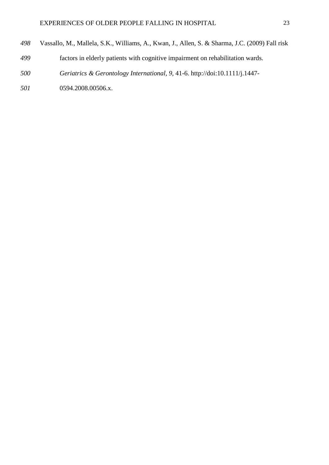- Vassallo, M., Mallela, S.K., Williams, A., Kwan, J., Allen, S. & Sharma, J.C. (2009) Fall risk
- factors in elderly patients with cognitive impairment on rehabilitation wards.
- *[Geriatrics & Gerontology International](http://www.ncbi.nlm.nih.gov/pubmed/19260978)*, *9,* 41-6. http://doi:10.1111/j.1447-
- 0594.2008.00506.x.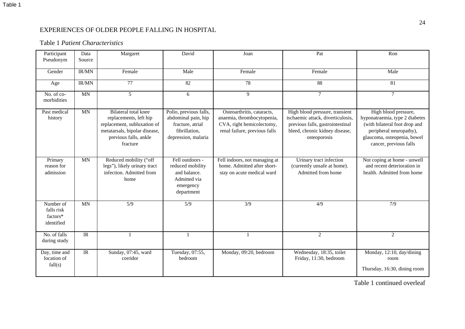# EXPERIENCES OF OLDER PEOPLE FALLING IN HOSPITAL

# Table 1 *Patient Characteristics*

| Participant<br>Pseudonym                          | Data<br>Source  | Margaret                                                                                                                                                   | David                                                                                                     | Joan                                                                                                                   | Pat                                                                                                                                                       | Ron                                                                                                                                                                         |
|---------------------------------------------------|-----------------|------------------------------------------------------------------------------------------------------------------------------------------------------------|-----------------------------------------------------------------------------------------------------------|------------------------------------------------------------------------------------------------------------------------|-----------------------------------------------------------------------------------------------------------------------------------------------------------|-----------------------------------------------------------------------------------------------------------------------------------------------------------------------------|
| Gender                                            | IR/MN           | Female                                                                                                                                                     | Male                                                                                                      | Female                                                                                                                 | Female                                                                                                                                                    | Male                                                                                                                                                                        |
| Age                                               | IR/MN           | 77                                                                                                                                                         | 82                                                                                                        | 78                                                                                                                     | 88                                                                                                                                                        | 81                                                                                                                                                                          |
| $No. of co-$<br>morbidities                       | <b>MN</b>       | $\overline{5}$                                                                                                                                             | 6                                                                                                         | $\overline{9}$                                                                                                         | $\overline{7}$                                                                                                                                            | $\tau$                                                                                                                                                                      |
| Past medical<br>history                           | <b>MN</b>       | <b>Bilateral total knee</b><br>replacements, left hip<br>replacement, subluxation of<br>metatarsals, bipolar disease,<br>previous falls, ankle<br>fracture | Polio, previous falls,<br>abdominal pain, hip<br>fracture, atrial<br>fibrillation,<br>depression, malaria | Osteoarthritis, cataracts,<br>anaemia, thrombocytopenia,<br>CVA, right hemicolectomy,<br>renal failure, previous falls | High blood pressure, transient<br>ischaemic attack, diverticulosis,<br>previous falls, gastrointestinal<br>bleed, chronic kidney disease,<br>osteoporosis | High blood pressure,<br>hyponatraemia, type 2 diabetes<br>(with bilateral foot drop and<br>peripheral neuropathy),<br>glaucoma, osteopenia, bowel<br>cancer, previous falls |
| Primary<br>reason for<br>admission                | <b>MN</b>       | Reduced mobility ("off<br>legs"), likely urinary tract<br>infection. Admitted from<br>home                                                                 | Fell outdoors -<br>reduced mobility<br>and balance.<br>Admitted via<br>emergency<br>department            | Fell indoors, not managing at<br>home. Admitted after short-<br>stay on acute medical ward                             | Urinary tract infection<br>(currently unsafe at home).<br>Admitted from home                                                                              | Not coping at home - unwell<br>and recent deterioration in<br>health. Admitted from home                                                                                    |
| Number of<br>falls risk<br>factors*<br>identified | <b>MN</b>       | $\overline{5/9}$                                                                                                                                           | $\overline{5/9}$                                                                                          | $\overline{\frac{3}{9}}$                                                                                               | 4/9                                                                                                                                                       | 7/9                                                                                                                                                                         |
| No. of falls<br>during study                      | $\overline{IR}$ |                                                                                                                                                            |                                                                                                           |                                                                                                                        | $\overline{2}$                                                                                                                                            | 2                                                                                                                                                                           |
| Day, time and<br>location of<br>fall(s)           | $\overline{IR}$ | Sunday, 07:45, ward<br>corridor                                                                                                                            | Tuesday, 07:55,<br>bedroom                                                                                | Monday, 09:20, bedroom                                                                                                 | Wednesday, 18:35, toilet<br>Friday, 11:30, bedroom                                                                                                        | Monday, 12:10, day/dining<br>room<br>Thursday, 16:30, dining room                                                                                                           |

Table 1 continued overleaf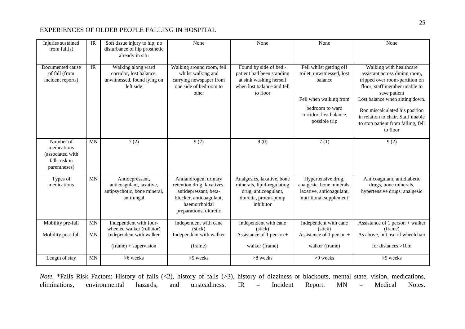### EXPERIENCES OF OLDER PEOPLE FALLING IN HOSPITAL

| Injuries sustained<br>from $fall(s)$                                          | $\ensuremath{\mathsf{IR}}\xspace$ | Soft tissue injury to hip; no<br>disturbance of hip prosthetic<br>already in situ                             | None                                                                                                                                               | None                                                                                                                     | None                                                                                                                                                     | None                                                                                                                                                                                                                                                                                                     |
|-------------------------------------------------------------------------------|-----------------------------------|---------------------------------------------------------------------------------------------------------------|----------------------------------------------------------------------------------------------------------------------------------------------------|--------------------------------------------------------------------------------------------------------------------------|----------------------------------------------------------------------------------------------------------------------------------------------------------|----------------------------------------------------------------------------------------------------------------------------------------------------------------------------------------------------------------------------------------------------------------------------------------------------------|
| Documented cause<br>of fall (from<br>incident reports)                        | IR                                | Walking along ward<br>corridor, lost balance,<br>unwitnessed, found lying on<br>left side                     | Walking around room, fell<br>whilst walking and<br>carrying newspaper from<br>one side of bedroom to<br>other                                      | Found by side of bed -<br>patient had been standing<br>at sink washing herself<br>when lost balance and fell<br>to floor | Fell whilst getting off<br>toilet, unwitnessed, lost<br>balance<br>Fell when walking from<br>bedroom to ward<br>corridor, lost balance,<br>possible trip | Walking with healthcare<br>assistant across dining room,<br>tripped over room-partition on<br>floor; staff member unable to<br>save patient<br>Lost balance when sitting down.<br>Ron miscalculated his position<br>in relation to chair. Staff unable<br>to stop patient from falling, fell<br>to floor |
| Number of<br>medications<br>(associated with<br>falls risk in<br>parentheses) | <b>MN</b>                         | 7(2)                                                                                                          | 9(2)                                                                                                                                               | 9(0)                                                                                                                     | 7(1)                                                                                                                                                     | 9(2)                                                                                                                                                                                                                                                                                                     |
| Types of<br>medications                                                       | <b>MN</b>                         | Antidepressant,<br>anticoagulant, laxative,<br>antipsychotic, bone mineral,<br>antifungal                     | Antiandrogen, urinary<br>retention drug, laxatives,<br>antidepressant, beta-<br>blocker, anticoagulant,<br>haemorrhoidal<br>preparations, diuretic | Analgesics, laxative, bone<br>minerals, lipid-regulating<br>drug, anticoagulant,<br>diuretic, proton-pump<br>inhibitor   | Hypertensive drug,<br>analgesic, bone minerals,<br>laxative, anticoagulant,<br>nutritional supplement                                                    | Anticoagulant, antidiabetic<br>drugs, bone minerals,<br>hypertensive drugs, analgesic                                                                                                                                                                                                                    |
| Mobility pre-fall<br>Mobility post-fall                                       | <b>MN</b><br><b>MN</b>            | Independent with four-<br>wheeled walker (rollator)<br>Independent with walker<br>$(f$ rame $)$ + supervision | Independent with cane<br>(stick)<br>Independent with walker<br>(frame)                                                                             | Independent with cane<br>(stick)<br>Assistance of 1 person $+$<br>walker (frame)                                         | Independent with cane<br>(stick)<br>Assistance of 1 person $+$<br>walker (frame)                                                                         | Assistance of $1$ person + walker<br>(frame)<br>As above, but use of wheelchair<br>for distances $>10m$                                                                                                                                                                                                  |
| Length of stay                                                                | <b>MN</b>                         | $>6$ weeks                                                                                                    | $>5$ weeks                                                                                                                                         | $>8$ weeks                                                                                                               | $>9$ weeks                                                                                                                                               | >9 weeks                                                                                                                                                                                                                                                                                                 |

*Note.* \*Falls Risk Factors: History of falls (<2), history of falls (>3), history of dizziness or blackouts, mental state, vision, medications, eliminations, environmental hazards, and unsteadiness. IR = Incident Report. MN = Medical Notes.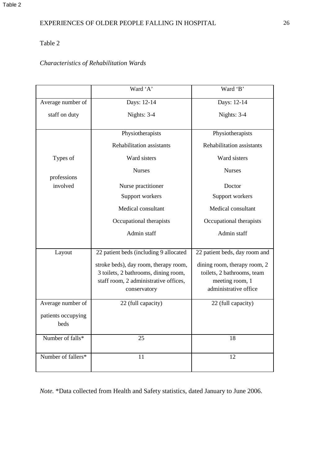# Table 2

# *Characteristics of Rehabilitation Wards*

|                            | Ward 'A'                                                                                                                               | Ward 'B'                                                                                               |
|----------------------------|----------------------------------------------------------------------------------------------------------------------------------------|--------------------------------------------------------------------------------------------------------|
| Average number of          | Days: 12-14                                                                                                                            | Days: 12-14                                                                                            |
| staff on duty              | Nights: 3-4                                                                                                                            | Nights: 3-4                                                                                            |
|                            | Physiotherapists                                                                                                                       | Physiotherapists                                                                                       |
|                            | Rehabilitation assistants                                                                                                              | Rehabilitation assistants                                                                              |
| Types of                   | Ward sisters                                                                                                                           | Ward sisters                                                                                           |
| professions                | <b>Nurses</b>                                                                                                                          | <b>Nurses</b>                                                                                          |
| involved                   | Nurse practitioner                                                                                                                     | Doctor                                                                                                 |
|                            | Support workers                                                                                                                        | Support workers                                                                                        |
|                            | Medical consultant                                                                                                                     | Medical consultant                                                                                     |
|                            | Occupational therapists                                                                                                                | Occupational therapists                                                                                |
|                            | Admin staff                                                                                                                            | Admin staff                                                                                            |
| Layout                     | 22 patient beds (including 9 allocated                                                                                                 | 22 patient beds, day room and                                                                          |
|                            | stroke beds), day room, therapy room,<br>3 toilets, 2 bathrooms, dining room,<br>staff room, 2 administrative offices,<br>conservatory | dining room, therapy room, 2<br>toilets, 2 bathrooms, team<br>meeting room, 1<br>administrative office |
| Average number of          | 22 (full capacity)                                                                                                                     | 22 (full capacity)                                                                                     |
| patients occupying<br>beds |                                                                                                                                        |                                                                                                        |
| Number of falls*           | 25                                                                                                                                     | 18                                                                                                     |
| Number of fallers*         | 11                                                                                                                                     | 12                                                                                                     |

*Note.* \*Data collected from Health and Safety statistics, dated January to June 2006.